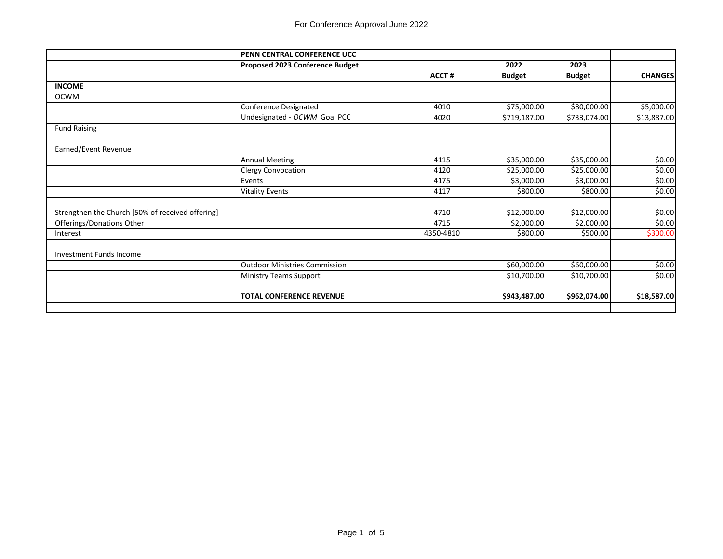|                                                  | PENN CENTRAL CONFERENCE UCC          |              |               |               |                |
|--------------------------------------------------|--------------------------------------|--------------|---------------|---------------|----------------|
|                                                  | Proposed 2023 Conference Budget      |              | 2022          | 2023          |                |
|                                                  |                                      | <b>ACCT#</b> | <b>Budget</b> | <b>Budget</b> | <b>CHANGES</b> |
| <b>INCOME</b>                                    |                                      |              |               |               |                |
| <b>OCWM</b>                                      |                                      |              |               |               |                |
|                                                  | Conference Designated                | 4010         | \$75,000.00   | \$80,000.00   | \$5,000.00     |
|                                                  | Undesignated - OCWM Goal PCC         | 4020         | \$719,187.00  | \$733,074.00  | \$13,887.00    |
| <b>Fund Raising</b>                              |                                      |              |               |               |                |
| Earned/Event Revenue                             |                                      |              |               |               |                |
|                                                  | <b>Annual Meeting</b>                | 4115         | \$35,000.00   | \$35,000.00   | \$0.00         |
|                                                  | <b>Clergy Convocation</b>            | 4120         | \$25,000.00   | \$25,000.00   | \$0.00         |
|                                                  | Events                               | 4175         | \$3,000.00    | \$3,000.00    | \$0.00         |
|                                                  | <b>Vitality Events</b>               | 4117         | \$800.00      | \$800.00      | \$0.00         |
| Strengthen the Church [50% of received offering] |                                      | 4710         | \$12,000.00   | \$12,000.00   | \$0.00         |
| Offerings/Donations Other                        |                                      | 4715         | \$2,000.00    | \$2,000.00    | \$0.00         |
| Interest                                         |                                      | 4350-4810    | \$800.00      | \$500.00      | \$300.00       |
| <b>Investment Funds Income</b>                   |                                      |              |               |               |                |
|                                                  | <b>Outdoor Ministries Commission</b> |              | \$60,000.00   | \$60,000.00   | \$0.00         |
|                                                  | <b>Ministry Teams Support</b>        |              | \$10,700.00   | \$10,700.00   | \$0.00         |
|                                                  | <b>TOTAL CONFERENCE REVENUE</b>      |              | \$943,487.00  | \$962,074.00  | \$18,587.00    |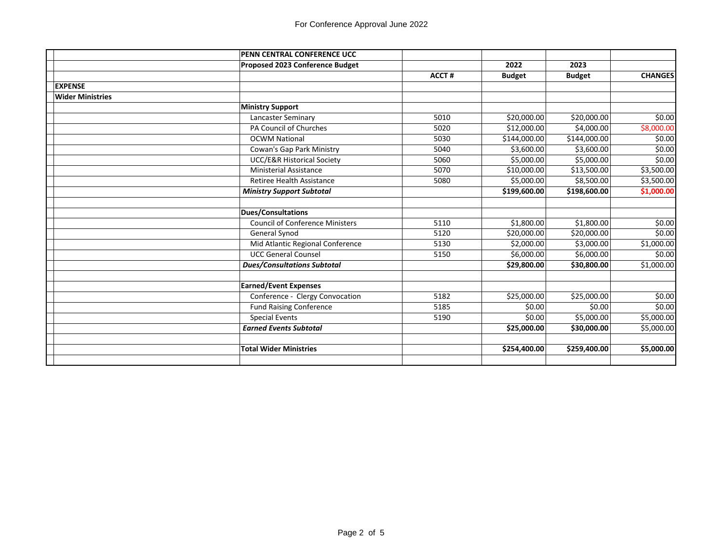|                         | PENN CENTRAL CONFERENCE UCC            |              |               |               |                |
|-------------------------|----------------------------------------|--------------|---------------|---------------|----------------|
|                         | Proposed 2023 Conference Budget        |              | 2022          | 2023          |                |
|                         |                                        | <b>ACCT#</b> | <b>Budget</b> | <b>Budget</b> | <b>CHANGES</b> |
| <b>EXPENSE</b>          |                                        |              |               |               |                |
| <b>Wider Ministries</b> |                                        |              |               |               |                |
|                         | <b>Ministry Support</b>                |              |               |               |                |
|                         | Lancaster Seminary                     | 5010         | \$20,000.00   | \$20,000.00   | \$0.00         |
|                         | <b>PA Council of Churches</b>          | 5020         | \$12,000.00   | \$4,000.00    | \$8,000.00     |
|                         | <b>OCWM National</b>                   | 5030         | \$144,000.00  | \$144,000.00  | \$0.00         |
|                         | Cowan's Gap Park Ministry              | 5040         | \$3,600.00    | \$3,600.00    | \$0.00         |
|                         | <b>UCC/E&amp;R Historical Society</b>  | 5060         | \$5,000.00    | \$5,000.00    | \$0.00         |
|                         | <b>Ministerial Assistance</b>          | 5070         | \$10,000.00   | \$13,500.00   | \$3,500.00     |
|                         | Retiree Health Assistance              | 5080         | \$5,000.00    | \$8,500.00    | \$3,500.00     |
|                         | <b>Ministry Support Subtotal</b>       |              | \$199,600.00  | \$198,600.00  | \$1,000.00     |
|                         |                                        |              |               |               |                |
|                         | <b>Dues/Consultations</b>              |              |               |               |                |
|                         | <b>Council of Conference Ministers</b> | 5110         | \$1,800.00    | \$1,800.00    | \$0.00         |
|                         | General Synod                          | 5120         | \$20,000.00   | \$20,000.00   | \$0.00         |
|                         | Mid Atlantic Regional Conference       | 5130         | \$2,000.00    | \$3,000.00    | \$1,000.00     |
|                         | <b>UCC General Counsel</b>             | 5150         | \$6,000.00    | \$6,000.00    | \$0.00         |
|                         | <b>Dues/Consultations Subtotal</b>     |              | \$29,800.00   | \$30,800.00   | \$1,000.00     |
|                         |                                        |              |               |               |                |
|                         | <b>Earned/Event Expenses</b>           |              |               |               |                |
|                         | Conference - Clergy Convocation        | 5182         | \$25,000.00   | \$25,000.00   | \$0.00         |
|                         | <b>Fund Raising Conference</b>         | 5185         | \$0.00        | \$0.00        | \$0.00         |
|                         | <b>Special Events</b>                  | 5190         | \$0.00        | \$5,000.00    | \$5,000.00     |
|                         | <b>Earned Events Subtotal</b>          |              | \$25,000.00   | \$30,000.00   | \$5,000.00     |
|                         |                                        |              |               |               |                |
|                         | <b>Total Wider Ministries</b>          |              | \$254,400.00  | \$259,400.00  | \$5,000.00     |
|                         |                                        |              |               |               |                |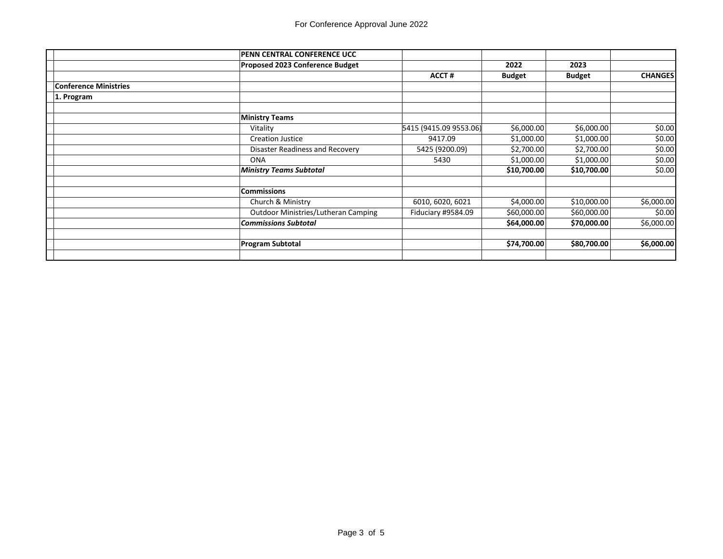|                              | PENN CENTRAL CONFERENCE UCC                |                        |               |               |                |
|------------------------------|--------------------------------------------|------------------------|---------------|---------------|----------------|
|                              | Proposed 2023 Conference Budget            |                        | 2022          | 2023          |                |
|                              |                                            | <b>ACCT#</b>           | <b>Budget</b> | <b>Budget</b> | <b>CHANGES</b> |
| <b>Conference Ministries</b> |                                            |                        |               |               |                |
| 1. Program                   |                                            |                        |               |               |                |
|                              |                                            |                        |               |               |                |
|                              | <b>Ministry Teams</b>                      |                        |               |               |                |
|                              | Vitality                                   | 5415 (9415.09 9553.06) | \$6,000.00    | \$6,000.00    | \$0.00         |
|                              | <b>Creation Justice</b>                    | 9417.09                | \$1,000.00    | \$1,000.00    | \$0.00         |
|                              | Disaster Readiness and Recovery            | 5425 (9200.09)         | \$2,700.00    | \$2,700.00    | \$0.00         |
|                              | <b>ONA</b>                                 | 5430                   | \$1,000.00    | \$1,000.00    | \$0.00         |
|                              | <b>Ministry Teams Subtotal</b>             |                        | \$10,700.00   | \$10,700.00   | \$0.00         |
|                              | <b>Commissions</b>                         |                        |               |               |                |
|                              | Church & Ministry                          | 6010, 6020, 6021       | \$4,000.00    | \$10,000.00   | \$6,000.00     |
|                              | <b>Outdoor Ministries/Lutheran Camping</b> | Fiduciary #9584.09     | \$60,000.00   | \$60,000.00   | \$0.00         |
|                              | <b>Commissions Subtotal</b>                |                        | \$64,000.00   | \$70,000.00   | \$6,000.00     |
|                              |                                            |                        |               |               |                |
|                              | <b>Program Subtotal</b>                    |                        | \$74,700.00   | \$80,700.00   | \$6,000.00     |
|                              |                                            |                        |               |               |                |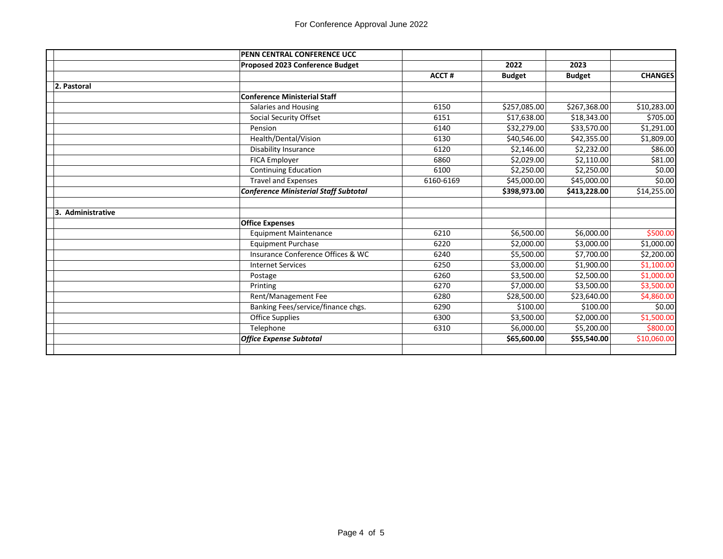|                   | PENN CENTRAL CONFERENCE UCC                  |              |               |               |                        |
|-------------------|----------------------------------------------|--------------|---------------|---------------|------------------------|
|                   | Proposed 2023 Conference Budget              |              | 2022          | 2023          |                        |
|                   |                                              | <b>ACCT#</b> | <b>Budget</b> | <b>Budget</b> | <b>CHANGES</b>         |
| 2. Pastoral       |                                              |              |               |               |                        |
|                   | <b>Conference Ministerial Staff</b>          |              |               |               |                        |
|                   | Salaries and Housing                         | 6150         | \$257,085.00  | \$267,368.00  | \$10,283.00            |
|                   | Social Security Offset                       | 6151         | \$17,638.00   | \$18,343.00   | \$705.00               |
|                   | Pension                                      | 6140         | \$32,279.00   | \$33,570.00   | $\overline{$}1,291.00$ |
|                   | Health/Dental/Vision                         | 6130         | \$40.546.00   | \$42,355.00   | \$1,809.00             |
|                   | Disability Insurance                         | 6120         | \$2,146.00    | \$2,232.00    | \$86.00                |
|                   | <b>FICA Employer</b>                         | 6860         | \$2,029.00    | \$2,110.00    | \$81.00                |
|                   | <b>Continuing Education</b>                  | 6100         | \$2,250.00    | \$2,250.00    | \$0.00                 |
|                   | <b>Travel and Expenses</b>                   | 6160-6169    | \$45,000.00   | \$45,000.00   | \$0.00                 |
|                   | <b>Conference Ministerial Staff Subtotal</b> |              | \$398,973.00  | \$413,228.00  | \$14,255.00            |
|                   |                                              |              |               |               |                        |
| 3. Administrative |                                              |              |               |               |                        |
|                   | <b>Office Expenses</b>                       |              |               |               |                        |
|                   | <b>Equipment Maintenance</b>                 | 6210         | \$6,500.00    | \$6,000.00    | \$500.00               |
|                   | <b>Equipment Purchase</b>                    | 6220         | \$2,000.00    | \$3,000.00    | \$1,000.00             |
|                   | Insurance Conference Offices & WC            | 6240         | \$5,500.00    | \$7,700.00    | \$2,200.00             |
|                   | <b>Internet Services</b>                     | 6250         | \$3,000.00    | \$1,900.00    | \$1,100.00             |
|                   | Postage                                      | 6260         | \$3,500.00    | \$2,500.00    | \$1,000.00             |
|                   | Printing                                     | 6270         | \$7,000.00    | \$3,500.00    | \$3,500.00             |
|                   | Rent/Management Fee                          | 6280         | \$28,500.00   | \$23,640.00   | \$4,860.00             |
|                   | Banking Fees/service/finance chgs.           | 6290         | \$100.00      | \$100.00      | \$0.00                 |
|                   | Office Supplies                              | 6300         | \$3,500.00    | \$2,000.00    | \$1,500.00             |
|                   | Telephone                                    | 6310         | \$6,000.00    | \$5,200.00    | \$800.00               |
|                   | <b>Office Expense Subtotal</b>               |              | \$65,600.00   | \$55,540.00   | \$10,060.00            |
|                   |                                              |              |               |               |                        |